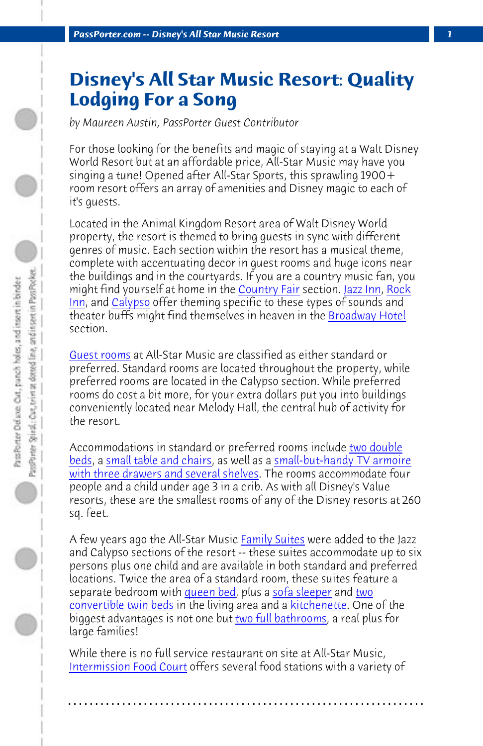**PassPorter.com -- Disney's All Star Music Resort** 

## **[Di](http://www.passporter.com/photos/showphoto.php/photo/259)sn[ey's A](http://www.passporter.com/photos/showphoto.php/photo/443)ll Star M[usic Re](http://www.passporter.com/photos/showphoto.php/photo/252)so[rt:](http://www.passporter.com/photos/showphoto.php/photo/230) [Qua](http://www.passporter.com/photos/showphoto.php/photo/273)[lity](http://www.passporter.com/photos/showphoto.php/photo/259) Lodging For a Song**

*by Maureen Austin, PassPorter Guest Contributor*

For those looking for the benefits and magic of staying at a Walt Disney World Resort but at an affordable price, All-Star Music may have you singing a tune! Opened after All-Star Sports, this sprawling 1900+ room resort offers an array of amenities and Disney magic to each of it's guests.

Located in the Animal Kingdom Resort area of Walt Disn[ey World](http://www.passporter.com/photos/showphoto.php/photo/192) [prope](http://www.passporter.com/photos/showphoto.php/photo/192)r[ty, the resort is themed](http://www.passporter.com/photos/showphoto.php/photo/193) to bring gu[ests in sync with different](http://www.passporter.com/photos/showphoto.php/photo/358) [genres of music. Each section within th](http://www.passporter.com/photos/showphoto.php/photo/358)e resort has a musical theme, complete with accentuating decor in guest rooms and huge icons near the buildings and in the courtyards. If you are a country music fan, you might find yourself at home in the **Country Fair** section. Jazz Inn, Rock Inn, and Calypso offer theming specific to these types of sounds and theater buffs might find themselve[s in heaven in](http://www.passporter.com/photos/showgallery.php/cat/523) the Broadway Hotel section.

Guest rooms at All-Star Music are classified as either standard or preferred. Standard ro[oms are loca](http://www.passporter.com/photos/showphoto.php/photo/396)ted th[roughout the](http://www.passporter.com/photos/showphoto.php/photo/388) pro[pert](http://www.passporter.com/photos/showphoto.php/photo/394)y, while [preferred rooms are lo](http://www.passporter.com/photos/showphoto.php/photo/394)cated in the Calypso s[ection. While](http://www.passporter.com/photos/showphoto.php/photo/404) preferred rooms do cost a bit more, for your [extra dollars put yo](http://www.passporter.com/photos/showphoto.php/photo/361)u into buildings conveniently located near Melody Hall, the central hub of activity for the resort.

[Accommodations in stan](http://www.passporter.com/photos/showphoto.php/photo/330)dard or preferred rooms include two double beds, a small table and chairs, as well as a small-but-handy TV armoire with three drawers and several shelves. The rooms accommodate four people and a child under age 3 in a crib. As with all Disney's Value resorts, these are the smallest rooms of any of the Disney resorts at 260 sq. feet.

A few years ago the All-Star Music Family Suites were added to the Jazz and Calypso sections of the resort -- these suites accommodate up to six persons plus one child and are available in both standard and preferred locations. Twice the area of a standard room, these suites feature a separate bedroom with queen bed, plus a sofa sleeper and two convertible twin beds in the living area and a kitchenette. One of the biggest advantages is not one but two full bathrooms, a real plus for large families!

While there is no full service restaurant on site at All-Star Music, Intermission Food Court offers several food stations with a variety of

**. . . . . . . . . . . . . . . . . . . . . . . . . . . . . . . . . . . . . . . . . . . . . . . . . . . . . . . . . . . . . . . . . .**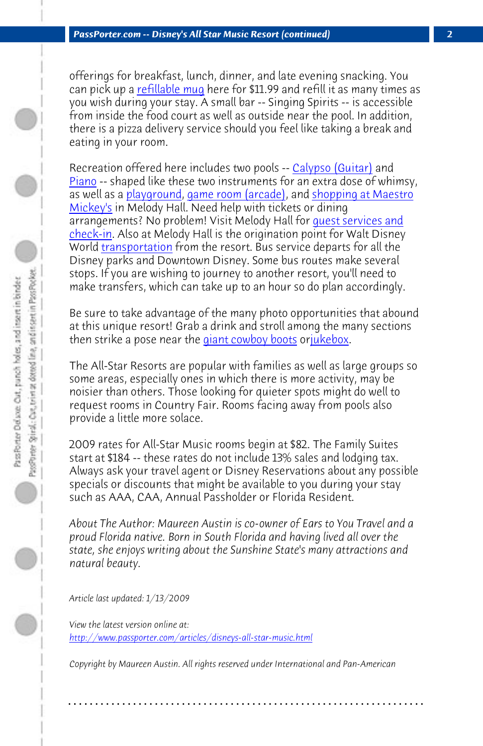*PassP[orter.com -- Disne](http://www.passporter.com/photos/showgallery.php/cat/525)y's All Star Music Resort (continued) 2*

offerings for breakfast, lunch, dinner, and late evening snacking. You can pick up a refillable mug here for \$11.99 and refill it as many times as you wish during your stay. A small bar -- Singing Spirits -- is accessible from inside the food court [as well as outside ne](http://www.passporter.com/photos/showphoto.php/photo/252)ar [the poo](http://www.passporter.com/photos/showphoto.php/photo/258)l. In addition, there is a pizza delivery service should you feel like taking a break and eating in your room.

Recreation offered here includes two pools -- Calypso (Guitar) and Piano -- shaped like these two instruments for an extra dose of whimsy, as well as a playground, game room (arcade), and shopping at Maestro Mickey's in Melody Hall. Need help with tickets or dining arrangements? No problem! Visit Melody Hall for guest services and check-in. Also at Melody Hall is the origination point for Walt Disney World transportation from the resort. Bus service departs for all the Disney parks and Downtown Disney. Some bus routes make several stops. If you are wishing to journey to another resort, you'll need to make transfers, which can take up to an hour so do plan accordingly.

Be sure to take advantage of the many photo opportunities that abound at this unique resort! Grab a drink and stroll among the many sections then strike a pose near the giant cowboy boots orjukebox.

The All-Star Resorts are popular with families as well as large groups so some areas, especially ones in which there is more activity, may be noisier than others. Those looking for quieter spots might do well to request rooms in Country Fair. Rooms facing away from pools also [provide a little more solace.](http://www.passporter.com/articles/disneys-all-star-music.php)

2009 rates for All-Star Music rooms begin at \$82. The Family Suites start at \$184 -- these rates do not include 13% sales and lodging tax. Always ask your travel agent or Disney Reservations about any possible specials or discounts that might be available to you during your stay such as AAA, CAA, Annual Passholder or Florida Resident.

*About The Author: Maureen Austin is co-owner of Ears to You Travel and a proud Florida native. Born in South Florida and having lived all over the state, she enjoys writing about the Sunshine State's many attractions and natural beauty.*

*Article last updated: 1/13/2009*

*View the latest version online at: http://www.passporter.com/articles/disneys-all-star-music.html*

*Copyright by Maureen Austin. All rights reserved under International and Pan-American*

**. . . . . . . . . . . . . . . . . . . . . . . . . . . . . . . . . . . . . . . . . . . . . . . . . . . . . . . . . . . . . . . . . .**